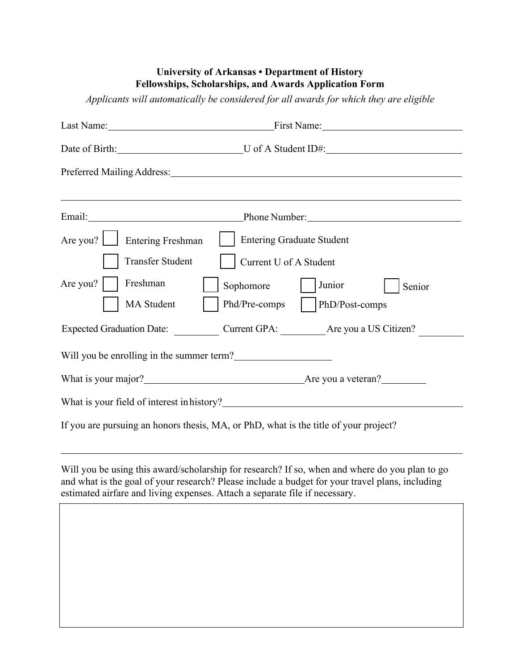## **University of Arkansas • Department of History Fellowships, Scholarships, and Awards Application Form**

*Applicants will automatically be considered for all awards for which they are eligible* 

|                                                                                                                                                                                                                                | Last Name: First Name: First Name:                                                   |  |
|--------------------------------------------------------------------------------------------------------------------------------------------------------------------------------------------------------------------------------|--------------------------------------------------------------------------------------|--|
|                                                                                                                                                                                                                                | Date of Birth: U of A Student ID#:                                                   |  |
|                                                                                                                                                                                                                                |                                                                                      |  |
|                                                                                                                                                                                                                                |                                                                                      |  |
| Email: and the contract of the contract of the contract of the contract of the contract of the contract of the contract of the contract of the contract of the contract of the contract of the contract of the contract of the |                                                                                      |  |
| Are you?   Entering Freshman                                                                                                                                                                                                   | <b>Entering Graduate Student</b>                                                     |  |
| Transfer Student                                                                                                                                                                                                               | Current U of A Student                                                               |  |
| Freshman<br>Are you?                                                                                                                                                                                                           | Junior<br>Sophomore<br>Senior                                                        |  |
| MA Student                                                                                                                                                                                                                     | Phd/Pre-comps<br>PhD/Post-comps                                                      |  |
| <b>Expected Graduation Date:</b>                                                                                                                                                                                               | Current GPA: Are you a US Citizen?                                                   |  |
|                                                                                                                                                                                                                                | Will you be enrolling in the summer term?                                            |  |
|                                                                                                                                                                                                                                | What is your major?<br><u>Matis your major?</u> Mathematic method is you a veteran?  |  |
|                                                                                                                                                                                                                                | What is your field of interest in history?                                           |  |
|                                                                                                                                                                                                                                | If you are pursuing an honors thesis, MA, or PhD, what is the title of your project? |  |

Will you be using this award/scholarship for research? If so, when and where do you plan to go and what is the goal of your research? Please include a budget for your travel plans, including estimated airfare and living expenses. Attach a separate file if necessary.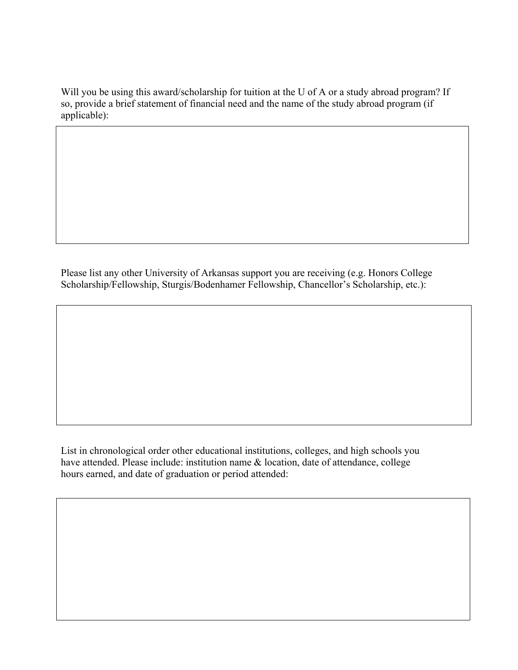Will you be using this award/scholarship for tuition at the U of A or a study abroad program? If so, provide a brief statement of financial need and the name of the study abroad program (if applicable):

Please list any other University of Arkansas support you are receiving (e.g. Honors College Scholarship/Fellowship, Sturgis/Bodenhamer Fellowship, Chancellor's Scholarship, etc.):

List in chronological order other educational institutions, colleges, and high schools you have attended. Please include: institution name & location, date of attendance, college hours earned, and date of graduation or period attended: